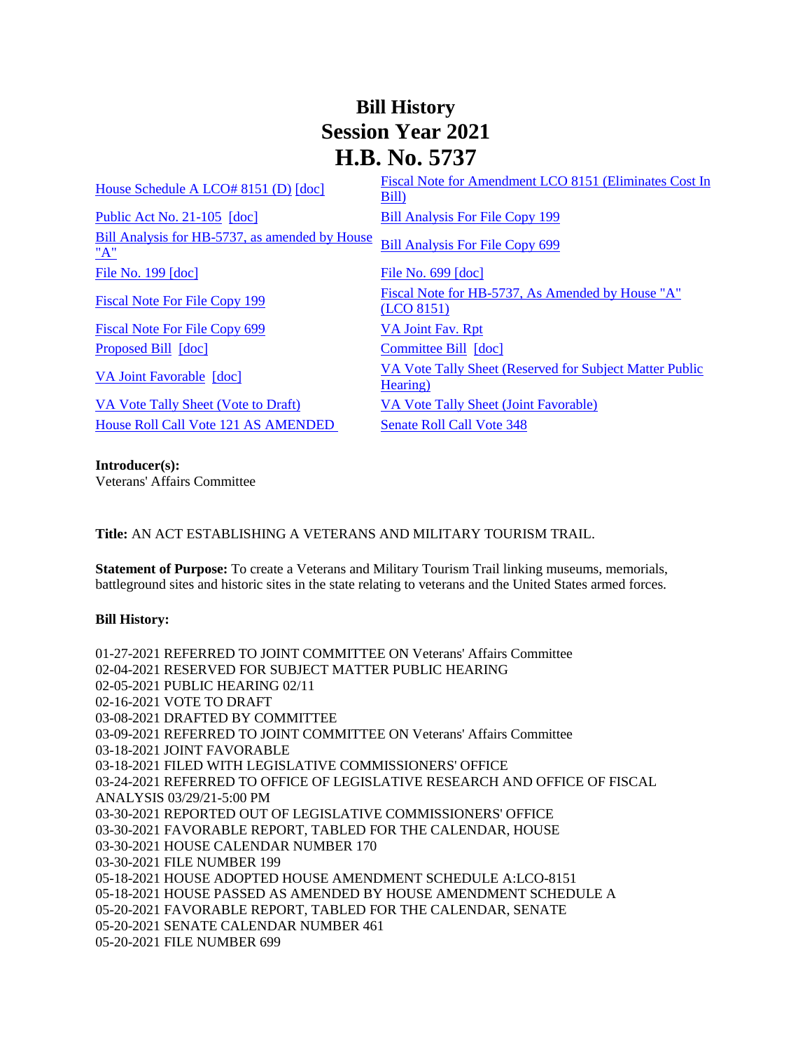## **Bill History Session Year 2021 H.B. No. 5737**

| House Schedule A LCO# 8151 (D) [doc]                  | Fiscal Note for Amendment LCO 8151 (Eliminates Cost In<br>Bill)     |
|-------------------------------------------------------|---------------------------------------------------------------------|
| Public Act No. $21-105$ [doc]                         | <b>Bill Analysis For File Copy 199</b>                              |
| Bill Analysis for HB-5737, as amended by House<br>"A" | <b>Bill Analysis For File Copy 699</b>                              |
| File No. 199 [doc]                                    | File No. 699 [doc]                                                  |
| <b>Fiscal Note For File Copy 199</b>                  | Fiscal Note for HB-5737, As Amended by House "A"<br>(LO 8151)       |
| Fiscal Note For File Copy 699                         | <b>VA Joint Fav. Rpt</b>                                            |
| Proposed Bill [doc]                                   | Committee Bill [doc]                                                |
| VA Joint Favorable [doc]                              | VA Vote Tally Sheet (Reserved for Subject Matter Public<br>Hearing) |
| VA Vote Tally Sheet (Vote to Draft)                   | VA Vote Tally Sheet (Joint Favorable)                               |
| <b>House Roll Call Vote 121 AS AMENDED</b>            | <b>Senate Roll Call Vote 348</b>                                    |
|                                                       |                                                                     |

**Introducer(s):** Veterans' Affairs Committee

**Title:** AN ACT ESTABLISHING A VETERANS AND MILITARY TOURISM TRAIL.

**Statement of Purpose:** To create a Veterans and Military Tourism Trail linking museums, memorials, battleground sites and historic sites in the state relating to veterans and the United States armed forces.

## **Bill History:**

01-27-2021 REFERRED TO JOINT COMMITTEE ON Veterans' Affairs Committee 02-04-2021 RESERVED FOR SUBJECT MATTER PUBLIC HEARING 02-05-2021 PUBLIC HEARING 02/11 02-16-2021 VOTE TO DRAFT 03-08-2021 DRAFTED BY COMMITTEE 03-09-2021 REFERRED TO JOINT COMMITTEE ON Veterans' Affairs Committee 03-18-2021 JOINT FAVORABLE 03-18-2021 FILED WITH LEGISLATIVE COMMISSIONERS' OFFICE 03-24-2021 REFERRED TO OFFICE OF LEGISLATIVE RESEARCH AND OFFICE OF FISCAL ANALYSIS 03/29/21-5:00 PM 03-30-2021 REPORTED OUT OF LEGISLATIVE COMMISSIONERS' OFFICE 03-30-2021 FAVORABLE REPORT, TABLED FOR THE CALENDAR, HOUSE 03-30-2021 HOUSE CALENDAR NUMBER 170 03-30-2021 FILE NUMBER 199 05-18-2021 HOUSE ADOPTED HOUSE AMENDMENT SCHEDULE A:LCO-8151 05-18-2021 HOUSE PASSED AS AMENDED BY HOUSE AMENDMENT SCHEDULE A 05-20-2021 FAVORABLE REPORT, TABLED FOR THE CALENDAR, SENATE 05-20-2021 SENATE CALENDAR NUMBER 461 05-20-2021 FILE NUMBER 699